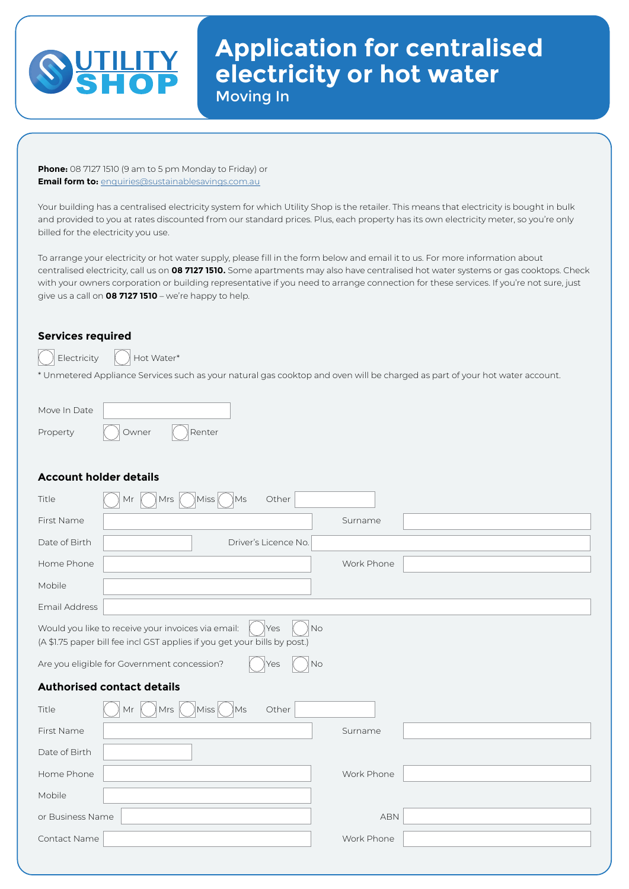

## **Application for centralised electricity or hot water**  Moving In

**Phone:** 08 7127 1510 (9 am to 5 pm Monday to Friday) or **Email form to:** [enquiries@sustainablesavings.com.au](mailto:enquiries%40sustainablesavings.com.au?subject=Utility%20Shop%20-%20Electrcity/Hot%20Water%20Application%20Enquiry)

Your building has a centralised electricity system for which Utility Shop is the retailer. This means that electricity is bought in bulk and provided to you at rates discounted from our standard prices. Plus, each property has its own electricity meter, so you're only billed for the electricity you use.

To arrange your electricity or hot water supply, please fill in the form below and email it to us. For more information about centralised electricity, call us on **08 7127 1510.** Some apartments may also have centralised hot water systems or gas cooktops. Check with your owners corporation or building representative if you need to arrange connection for these services. If you're not sure, just give us a call on **08 7127 1510** – we're happy to help.

## **Services required**

 $\parallel$  Electricity  $\parallel$  Hot Water\*

\* Unmetered Appliance Services such as your natural gas cooktop and oven will be charged as part of your hot water account.

| Move In Date |       |        |
|--------------|-------|--------|
| Property     | Owner | Renter |

## **Account holder details**

| Mrs<br>Miss<br>Title<br>Mr<br>Ms                                                                                                | Other                |  |
|---------------------------------------------------------------------------------------------------------------------------------|----------------------|--|
| First Name                                                                                                                      | Surname              |  |
| Date of Birth                                                                                                                   | Driver's Licence No. |  |
| Home Phone                                                                                                                      | Work Phone           |  |
| Mobile                                                                                                                          |                      |  |
| Email Address                                                                                                                   |                      |  |
| Would you like to receive your invoices via email:<br>(A \$1.75 paper bill fee incl GST applies if you get your bills by post.) | <b>No</b><br>Yes     |  |
| Are you eligible for Government concession?                                                                                     | No<br>'es            |  |
|                                                                                                                                 |                      |  |
| <b>Authorised contact details</b>                                                                                               |                      |  |
| \Ms<br>Mr<br>Mrs<br>Miss<br>Title                                                                                               | Other                |  |
| First Name                                                                                                                      | Surname              |  |
| Date of Birth                                                                                                                   |                      |  |
| Home Phone                                                                                                                      | Work Phone           |  |
| Mobile                                                                                                                          |                      |  |
| or Business Name                                                                                                                | <b>ABN</b>           |  |
| Contact Name                                                                                                                    | Work Phone           |  |